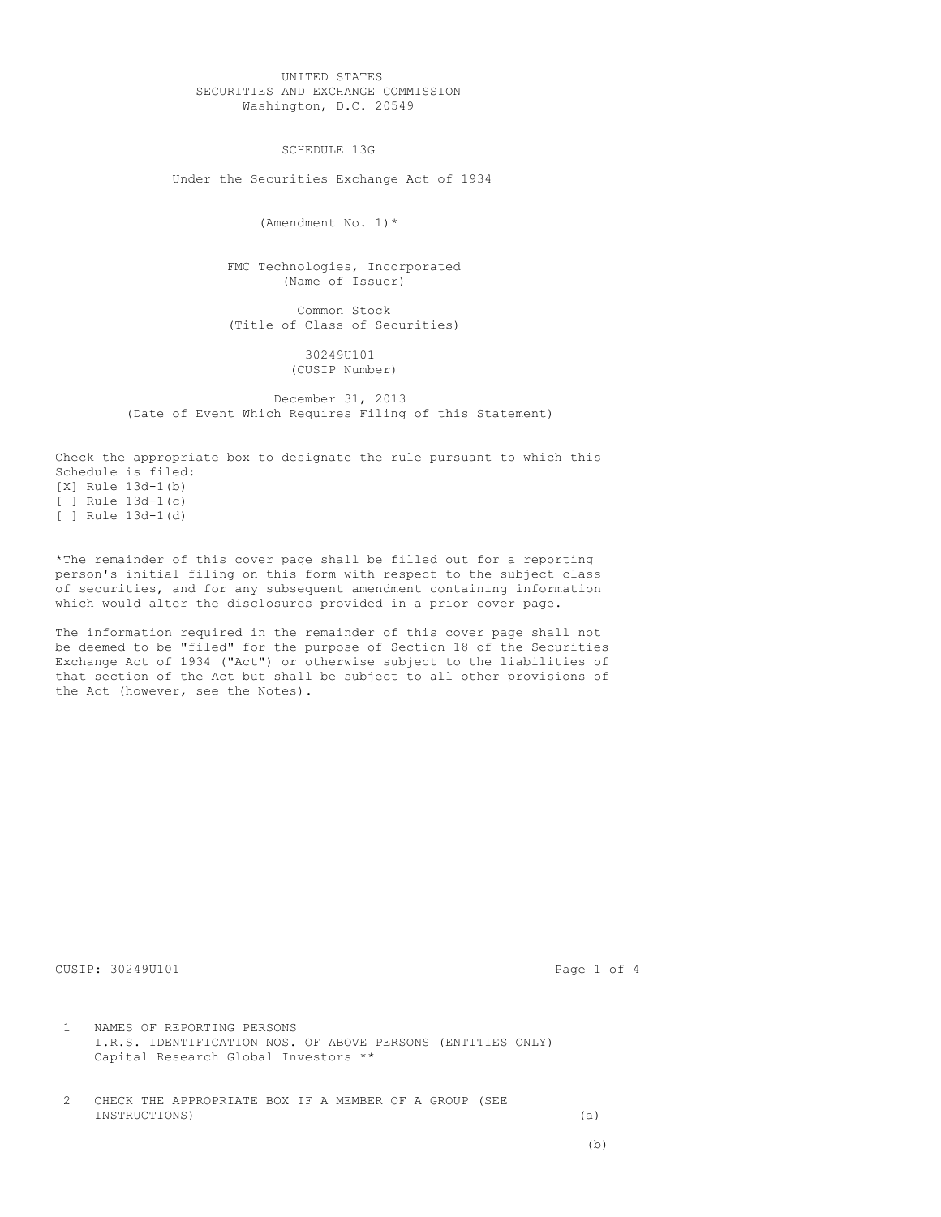UNITED STATES SECURITIES AND EXCHANGE COMMISSION Washington, D.C. 20549

SCHEDULE 13G

Under the Securities Exchange Act of 1934

(Amendment No. 1)\*

FMC Technologies, Incorporated (Name of Issuer)

Common Stock (Title of Class of Securities)

> 30249U101 (CUSIP Number)

December 31, 2013 (Date of Event Which Requires Filing of this Statement)

Check the appropriate box to designate the rule pursuant to which this Schedule is filed: [X] Rule 13d-1(b) [ ] Rule  $13d-1(c)$ [ ] Rule 13d-1(d)

\*The remainder of this cover page shall be filled out for a reporting person's initial filing on this form with respect to the subject class of securities, and for any subsequent amendment containing information which would alter the disclosures provided in a prior cover page.

The information required in the remainder of this cover page shall not be deemed to be "filed" for the purpose of Section 18 of the Securities Exchange Act of 1934 ("Act") or otherwise subject to the liabilities of that section of the Act but shall be subject to all other provisions of the Act (however, see the Notes).

CUSIP: 30249U101 Page 1 of 4

1 NAMES OF REPORTING PERSONS I.R.S. IDENTIFICATION NOS. OF ABOVE PERSONS (ENTITIES ONLY) Capital Research Global Investors \*\*

2 CHECK THE APPROPRIATE BOX IF A MEMBER OF A GROUP (SEE INSTRUCTIONS) (a)

(b)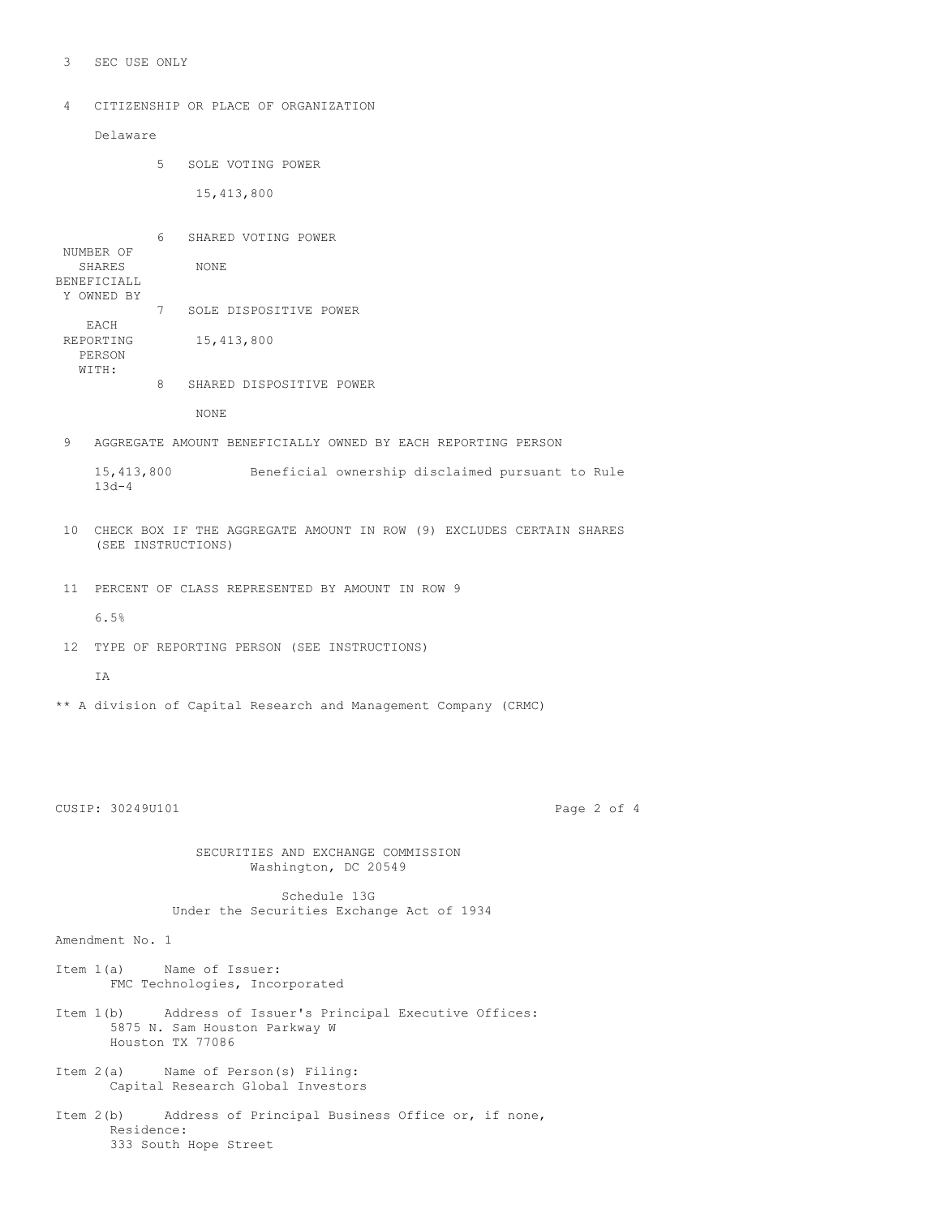3 SEC USE ONLY

4 CITIZENSHIP OR PLACE OF ORGANIZATION

Delaware

5 SOLE VOTING POWER

15,413,800

6 SHARED VOTING POWER NUMBER OF SHARES NONE BENEFICIALL Y OWNED BY 7 SOLE DISPOSITIVE POWER EACH REPORTING 15,413,800 PERSON WITH: 8 SHARED DISPOSITIVE POWER

NONE

9 AGGREGATE AMOUNT BENEFICIALLY OWNED BY EACH REPORTING PERSON

15,413,800 Beneficial ownership disclaimed pursuant to Rule 13d-4

- 10 CHECK BOX IF THE AGGREGATE AMOUNT IN ROW (9) EXCLUDES CERTAIN SHARES (SEE INSTRUCTIONS)
- 11 PERCENT OF CLASS REPRESENTED BY AMOUNT IN ROW 9
	- 6.5%
- 12 TYPE OF REPORTING PERSON (SEE INSTRUCTIONS)

T<sub>A</sub>

\*\* A division of Capital Research and Management Company (CRMC)

CUSIP: 30249U101 Page 2 of 4

SECURITIES AND EXCHANGE COMMISSION Washington, DC 20549

Schedule 13G Under the Securities Exchange Act of 1934

Amendment No. 1

- Item 1(a) Name of Issuer: FMC Technologies, Incorporated
- Item 1(b) Address of Issuer's Principal Executive Offices: 5875 N. Sam Houston Parkway W Houston TX 77086
- Item 2(a) Name of Person(s) Filing: Capital Research Global Investors
- Item 2(b) Address of Principal Business Office or, if none, Residence: 333 South Hope Street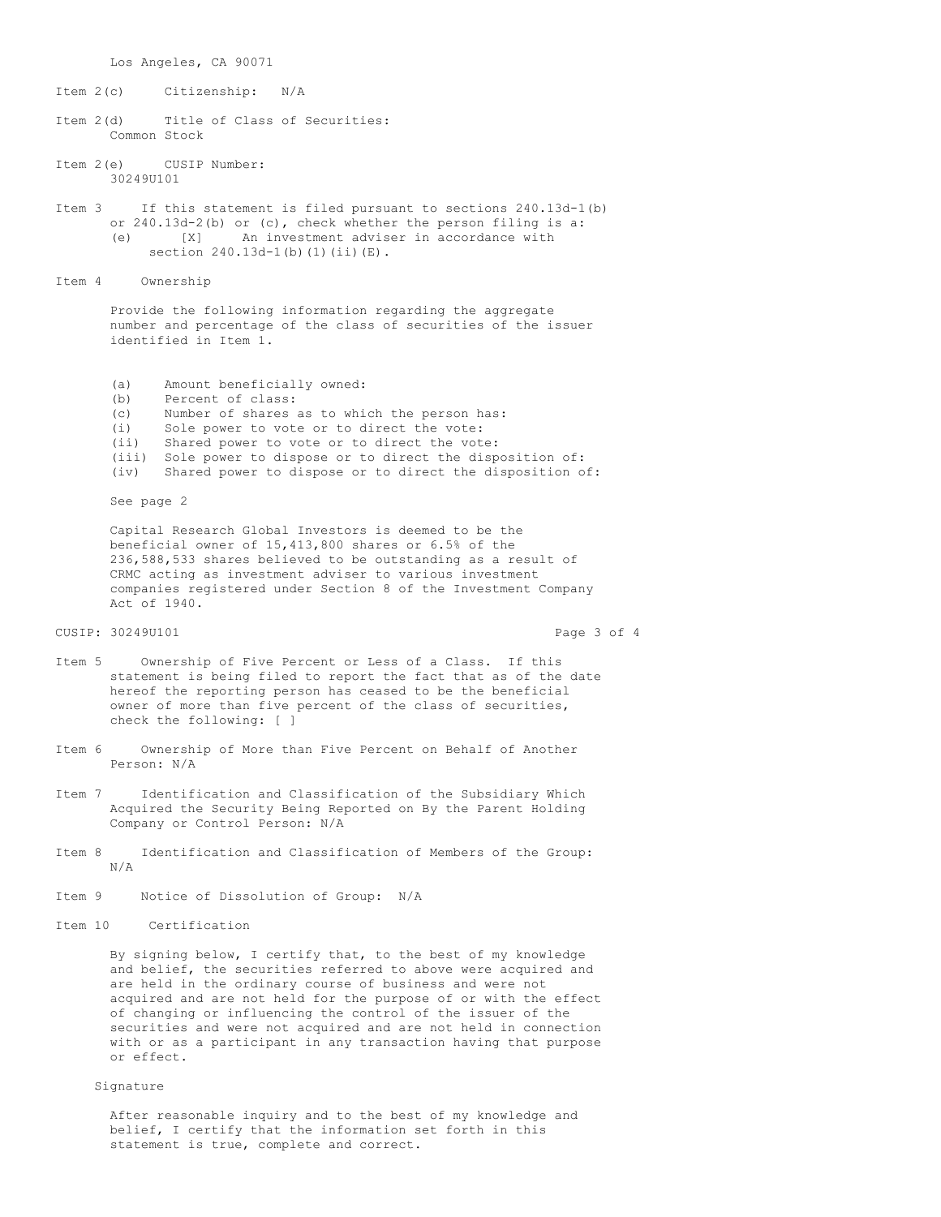Los Angeles, CA 90071

Item 2(c) Citizenship: N/A

Item 2(d) Title of Class of Securities: Common Stock

Item 2(e) CUSIP Number: 30249U101

Item 3 If this statement is filed pursuant to sections 240.13d-1(b) or 240.13d-2(b) or (c), check whether the person filing is a: (e) [X] An investment adviser in accordance with section 240.13d-1(b)(1)(ii)(E).

Item 4 Ownership

Provide the following information regarding the aggregate number and percentage of the class of securities of the issuer identified in Item 1.

- (a) Amount beneficially owned:<br>(b) Percent of class:
- Percent of class:
- (c) Number of shares as to which the person has:
- (i) Sole power to vote or to direct the vote:
- (ii) Shared power to vote or to direct the vote:
- (iii) Sole power to dispose or to direct the disposition of:
- (iv) Shared power to dispose or to direct the disposition of:

See page 2

Capital Research Global Investors is deemed to be the beneficial owner of 15,413,800 shares or 6.5% of the 236,588,533 shares believed to be outstanding as a result of CRMC acting as investment adviser to various investment companies registered under Section 8 of the Investment Company Act of 1940.

## CUSIP: 30249U101 Page 3 of 4

- Item 5 Ownership of Five Percent or Less of a Class. If this statement is being filed to report the fact that as of the date hereof the reporting person has ceased to be the beneficial owner of more than five percent of the class of securities, check the following: [ ]
- Item 6 Ownership of More than Five Percent on Behalf of Another Person: N/A
- Item 7 Identification and Classification of the Subsidiary Which Acquired the Security Being Reported on By the Parent Holding Company or Control Person: N/A
- Item 8 Identification and Classification of Members of the Group: N/A
- Item 9 Notice of Dissolution of Group: N/A
- Item 10 Certification

By signing below, I certify that, to the best of my knowledge and belief, the securities referred to above were acquired and are held in the ordinary course of business and were not acquired and are not held for the purpose of or with the effect of changing or influencing the control of the issuer of the securities and were not acquired and are not held in connection with or as a participant in any transaction having that purpose or effect.

## Signature

After reasonable inquiry and to the best of my knowledge and belief, I certify that the information set forth in this statement is true, complete and correct.